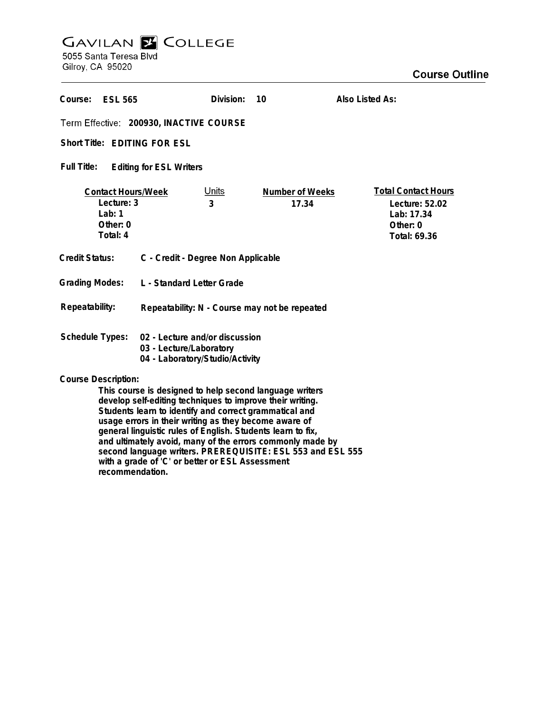# **GAVILAN E COLLEGE**<br>5055 Santa Teresa Blvd

Gilroy, CA 95020

| Course:<br><b>ESL 565</b>                                                                                                                                                                                                                                             |                                                                                              | Division:         | 10                       | Also Listed As:                                                                        |
|-----------------------------------------------------------------------------------------------------------------------------------------------------------------------------------------------------------------------------------------------------------------------|----------------------------------------------------------------------------------------------|-------------------|--------------------------|----------------------------------------------------------------------------------------|
| Term Effective: 200930, INACTIVE COURSE                                                                                                                                                                                                                               |                                                                                              |                   |                          |                                                                                        |
| Short Title: EDITING FOR ESL                                                                                                                                                                                                                                          |                                                                                              |                   |                          |                                                                                        |
| Full Title:<br><b>Editing for ESL Writers</b>                                                                                                                                                                                                                         |                                                                                              |                   |                          |                                                                                        |
| <b>Contact Hours/Week</b><br>Lecture: 3<br>Lab: $1$<br>Other: 0<br>Total: 4                                                                                                                                                                                           |                                                                                              | <u>Units</u><br>3 | Number of Weeks<br>17.34 | <b>Total Contact Hours</b><br>Lecture: 52.02<br>Lab: 17.34<br>Other: 0<br>Total: 69.36 |
| <b>Credit Status:</b>                                                                                                                                                                                                                                                 | C - Credit - Degree Non Applicable                                                           |                   |                          |                                                                                        |
| <b>Grading Modes:</b>                                                                                                                                                                                                                                                 | L - Standard Letter Grade                                                                    |                   |                          |                                                                                        |
| Repeatability:                                                                                                                                                                                                                                                        | Repeatability: N - Course may not be repeated                                                |                   |                          |                                                                                        |
| <b>Schedule Types:</b>                                                                                                                                                                                                                                                | 02 - Lecture and/or discussion<br>03 - Lecture/Laboratory<br>04 - Laboratory/Studio/Activity |                   |                          |                                                                                        |
| <b>Course Description:</b><br>This course is designed to help second language writers<br>develop self-editing techniques to improve their writing.<br>Students learn to identify and correct grammatical and<br>usage errors in their writing as they become aware of |                                                                                              |                   |                          |                                                                                        |

**general linguistic rules of English. Students learn to fix, and ultimately avoid, many of the errors commonly made by second language writers. PREREQUISITE: ESL 553 and ESL 555 with a grade of 'C' or better or ESL Assessment**

**recommendation.**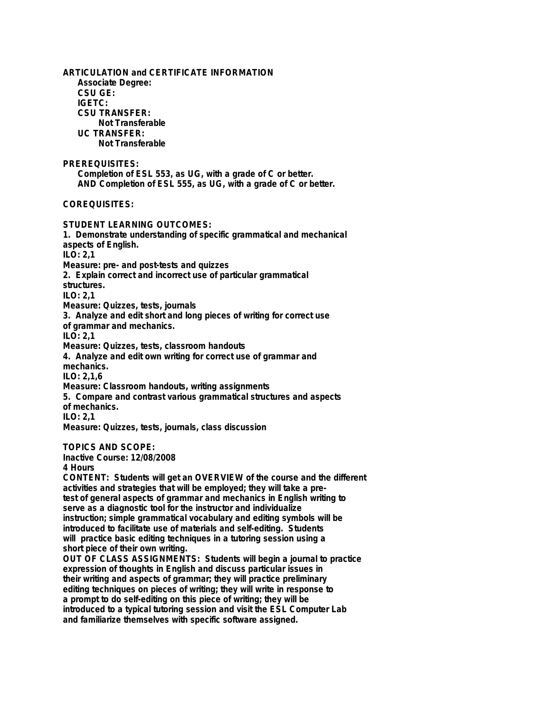**ARTICULATION and CERTIFICATE INFORMATION Associate Degree: CSU GE: IGETC: CSU TRANSFER: Not Transferable UC TRANSFER: Not Transferable PREREQUISITES: Completion of ESL 553, as UG, with a grade of C or better. AND Completion of ESL 555, as UG, with a grade of C or better. COREQUISITES: STUDENT LEARNING OUTCOMES: 1. Demonstrate understanding of specific grammatical and mechanical aspects of English. ILO: 2,1 Measure: pre- and post-tests and quizzes 2. Explain correct and incorrect use of particular grammatical structures. ILO: 2,1 Measure: Quizzes, tests, journals 3. Analyze and edit short and long pieces of writing for correct use of grammar and mechanics. ILO: 2,1 Measure: Quizzes, tests, classroom handouts 4. Analyze and edit own writing for correct use of grammar and mechanics. ILO: 2,1,6 Measure: Classroom handouts, writing assignments 5. Compare and contrast various grammatical structures and aspects of mechanics. ILO: 2,1 Measure: Quizzes, tests, journals, class discussion TOPICS AND SCOPE: Inactive Course: 12/08/2008 4 Hours CONTENT: Students will get an OVERVIEW of the course and the different activities and strategies that will be employed; they will take a pretest of general aspects of grammar and mechanics in English writing to serve as a diagnostic tool for the instructor and individualize instruction; simple grammatical vocabulary and editing symbols will be introduced to facilitate use of materials and self-editing. Students will practice basic editing techniques in a tutoring session using a short piece of their own writing.**

**OUT OF CLASS ASSIGNMENTS: Students will begin a journal to practice expression of thoughts in English and discuss particular issues in their writing and aspects of grammar; they will practice preliminary editing techniques on pieces of writing; they will write in response to a prompt to do self-editing on this piece of writing; they will be introduced to a typical tutoring session and visit the ESL Computer Lab and familiarize themselves with specific software assigned.**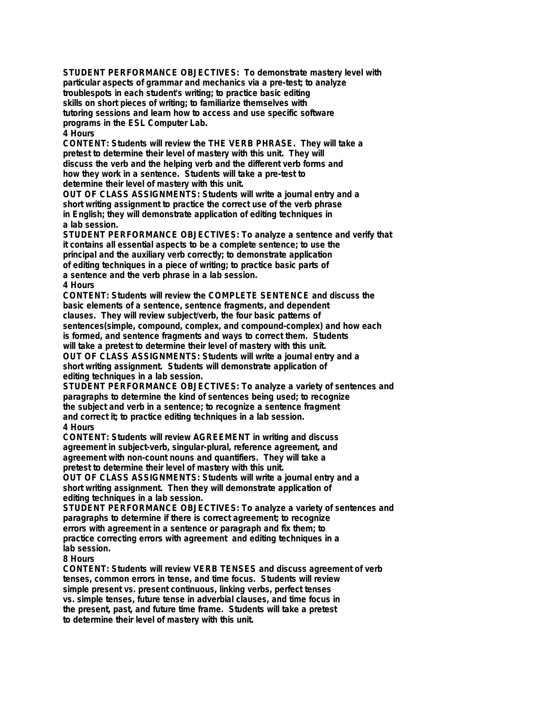**STUDENT PERFORMANCE OBJECTIVES: To demonstrate mastery level with particular aspects of grammar and mechanics via a pre-test; to analyze troublespots in each student's writing; to practice basic editing skills on short pieces of writing; to familiarize themselves with tutoring sessions and learn how to access and use specific software programs in the ESL Computer Lab. 4 Hours**

**CONTENT: Students will review the THE VERB PHRASE. They will take a pretest to determine their level of mastery with this unit. They will discuss the verb and the helping verb and the different verb forms and how they work in a sentence. Students will take a pre-test to determine their level of mastery with this unit.**

**OUT OF CLASS ASSIGNMENTS: Students will write a journal entry and a short writing assignment to practice the correct use of the verb phrase in English; they will demonstrate application of editing techniques in a lab session.**

**STUDENT PERFORMANCE OBJECTIVES: To analyze a sentence and verify that it contains all essential aspects to be a complete sentence; to use the principal and the auxiliary verb correctly; to demonstrate application of editing techniques in a piece of writing; to practice basic parts of a sentence and the verb phrase in a lab session. 4 Hours**

**CONTENT: Students will review the COMPLETE SENTENCE and discuss the basic elements of a sentence, sentence fragments, and dependent clauses. They will review subject/verb, the four basic patterns of sentences(simple, compound, complex, and compound-complex) and how each is formed, and sentence fragments and ways to correct them. Students will take a pretest to determine their level of mastery with this unit. OUT OF CLASS ASSIGNMENTS: Students will write a journal entry and a short writing assignment. Students will demonstrate application of**

**editing techniques in a lab session. STUDENT PERFORMANCE OBJECTIVES: To analyze a variety of sentences and paragraphs to determine the kind of sentences being used; to recognize the subject and verb in a sentence; to recognize a sentence fragment and correct it; to practice editing techniques in a lab session. 4 Hours**

**CONTENT: Students will review AGREEMENT in writing and discuss agreement in subject-verb, singular-plural, reference agreement, and agreement with non-count nouns and quantifiers. They will take a pretest to determine their level of mastery with this unit.**

**OUT OF CLASS ASSIGNMENTS: Students will write a journal entry and a short writing assignment. Then they will demonstrate application of editing techniques in a lab session.**

**STUDENT PERFORMANCE OBJECTIVES: To analyze a variety of sentences and paragraphs to determine if there is correct agreement; to recognize errors with agreement in a sentence or paragraph and fix them; to practice correcting errors with agreement and editing techniques in a lab session.**

**8 Hours**

**CONTENT: Students will review VERB TENSES and discuss agreement of verb tenses, common errors in tense, and time focus. Students will review simple present vs. present continuous, linking verbs, perfect tenses vs. simple tenses, future tense in adverbial clauses, and time focus in the present, past, and future time frame. Students will take a pretest to determine their level of mastery with this unit.**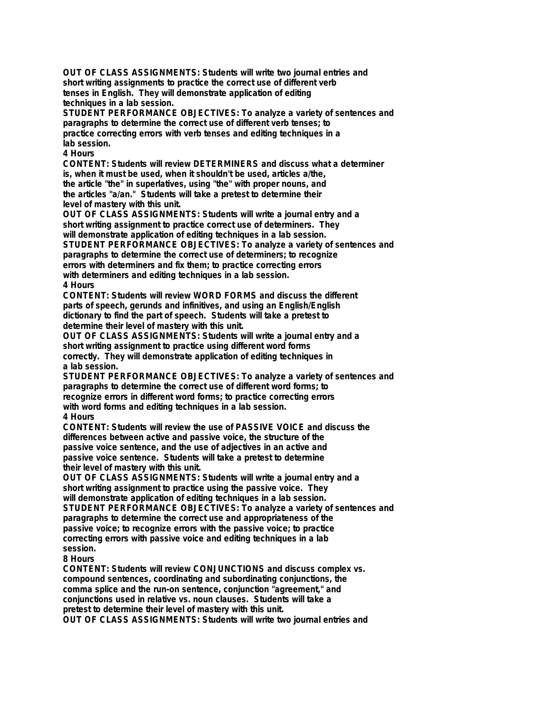**OUT OF CLASS ASSIGNMENTS: Students will write two journal entries and short writing assignments to practice the correct use of different verb tenses in English. They will demonstrate application of editing techniques in a lab session.**

**STUDENT PERFORMANCE OBJECTIVES: To analyze a variety of sentences and paragraphs to determine the correct use of different verb tenses; to practice correcting errors with verb tenses and editing techniques in a lab session.**

## **4 Hours**

**CONTENT: Students will review DETERMINERS and discuss what a determiner is, when it must be used, when it shouldn't be used, articles a/the, the article "the" in superlatives, using "the" with proper nouns, and the articles "a/an." Students will take a pretest to determine their level of mastery with this unit.**

**OUT OF CLASS ASSIGNMENTS: Students will write a journal entry and a short writing assignment to practice correct use of determiners. They will demonstrate application of editing techniques in a lab session. STUDENT PERFORMANCE OBJECTIVES: To analyze a variety of sentences and paragraphs to determine the correct use of determiners; to recognize errors with determiners and fix them; to practice correcting errors with determiners and editing techniques in a lab session.**

## **4 Hours**

**CONTENT: Students will review WORD FORMS and discuss the different parts of speech, gerunds and infinitives, and using an English/English dictionary to find the part of speech. Students will take a pretest to determine their level of mastery with this unit.**

**OUT OF CLASS ASSIGNMENTS: Students will write a journal entry and a short writing assignment to practice using different word forms correctly. They will demonstrate application of editing techniques in a lab session.**

**STUDENT PERFORMANCE OBJECTIVES: To analyze a variety of sentences and paragraphs to determine the correct use of different word forms; to recognize errors in different word forms; to practice correcting errors with word forms and editing techniques in a lab session. 4 Hours**

**CONTENT: Students will review the use of PASSIVE VOICE and discuss the differences between active and passive voice, the structure of the passive voice sentence, and the use of adjectives in an active and passive voice sentence. Students will take a pretest to determine their level of mastery with this unit.**

**OUT OF CLASS ASSIGNMENTS: Students will write a journal entry and a short writing assignment to practice using the passive voice. They will demonstrate application of editing techniques in a lab session. STUDENT PERFORMANCE OBJECTIVES: To analyze a variety of sentences and paragraphs to determine the correct use and appropriateness of the passive voice; to recognize errors with the passive voice; to practice correcting errors with passive voice and editing techniques in a lab session.**

## **8 Hours**

**CONTENT: Students will review CONJUNCTIONS and discuss complex vs. compound sentences, coordinating and subordinating conjunctions, the comma splice and the run-on sentence, conjunction "agreement," and conjunctions used in relative vs. noun clauses. Students will take a pretest to determine their level of mastery with this unit. OUT OF CLASS ASSIGNMENTS: Students will write two journal entries and**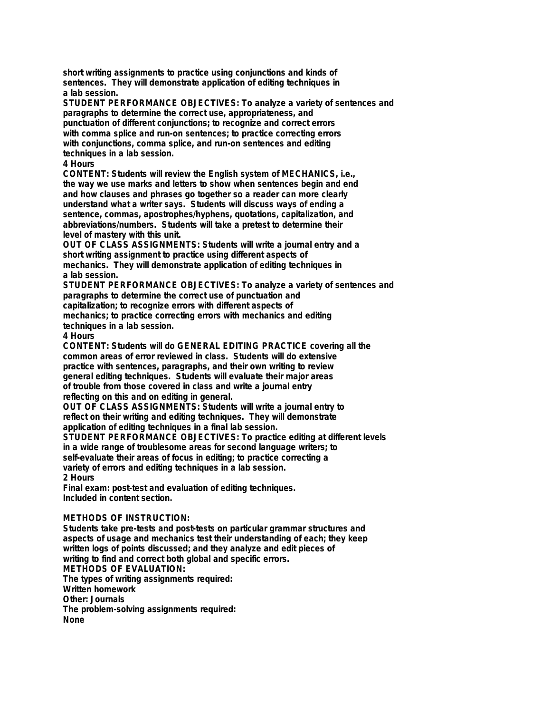**short writing assignments to practice using conjunctions and kinds of sentences. They will demonstrate application of editing techniques in a lab session.**

**STUDENT PERFORMANCE OBJECTIVES: To analyze a variety of sentences and paragraphs to determine the correct use, appropriateness, and punctuation of different conjunctions; to recognize and correct errors with comma splice and run-on sentences; to practice correcting errors with conjunctions, comma splice, and run-on sentences and editing techniques in a lab session.**

#### **4 Hours**

**CONTENT: Students will review the English system of MECHANICS, i.e., the way we use marks and letters to show when sentences begin and end and how clauses and phrases go together so a reader can more clearly understand what a writer says. Students will discuss ways of ending a sentence, commas, apostrophes/hyphens, quotations, capitalization, and abbreviations/numbers. Students will take a pretest to determine their level of mastery with this unit.**

**OUT OF CLASS ASSIGNMENTS: Students will write a journal entry and a short writing assignment to practice using different aspects of mechanics. They will demonstrate application of editing techniques in a lab session.**

**STUDENT PERFORMANCE OBJECTIVES: To analyze a variety of sentences and paragraphs to determine the correct use of punctuation and capitalization; to recognize errors with different aspects of mechanics; to practice correcting errors with mechanics and editing techniques in a lab session.**

**4 Hours**

**CONTENT: Students will do GENERAL EDITING PRACTICE covering all the common areas of error reviewed in class. Students will do extensive practice with sentences, paragraphs, and their own writing to review general editing techniques. Students will evaluate their major areas of trouble from those covered in class and write a journal entry reflecting on this and on editing in general.**

**OUT OF CLASS ASSIGNMENTS: Students will write a journal entry to reflect on their writing and editing techniques. They will demonstrate application of editing techniques in a final lab session.**

**STUDENT PERFORMANCE OBJECTIVES: To practice editing at different levels in a wide range of troublesome areas for second language writers; to self-evaluate their areas of focus in editing; to practice correcting a variety of errors and editing techniques in a lab session. 2 Hours**

**Final exam: post-test and evaluation of editing techniques. Included in content section.**

## **METHODS OF INSTRUCTION:**

**Students take pre-tests and post-tests on particular grammar structures and aspects of usage and mechanics test their understanding of each; they keep written logs of points discussed; and they analyze and edit pieces of writing to find and correct both global and specific errors. METHODS OF EVALUATION: The types of writing assignments required: Written homework Other: Journals The problem-solving assignments required: None**